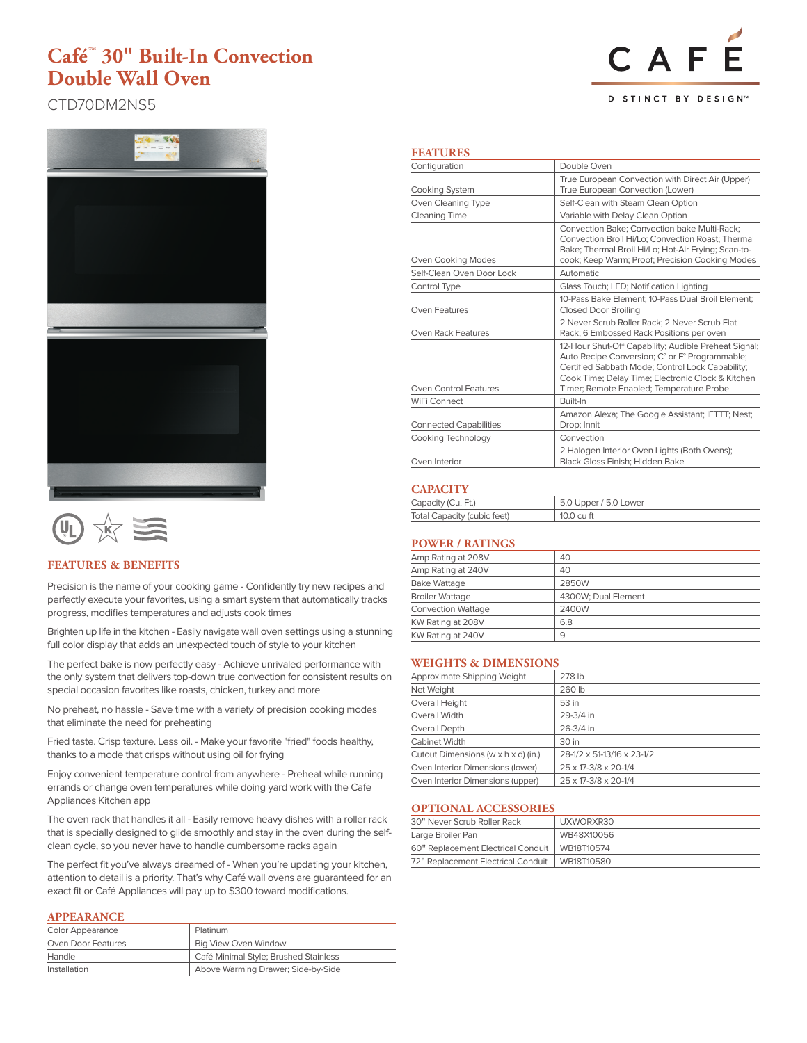CAF **DISTINCT BY DESIGN™** 

CTD70DM2NS5





## **FEATURES & BENEFITS**

Precision is the name of your cooking game - Confidently try new recipes and perfectly execute your favorites, using a smart system that automatically tracks progress, modifies temperatures and adjusts cook times

Brighten up life in the kitchen - Easily navigate wall oven settings using a stunning full color display that adds an unexpected touch of style to your kitchen

The perfect bake is now perfectly easy - Achieve unrivaled performance with the only system that delivers top-down true convection for consistent results on special occasion favorites like roasts, chicken, turkey and more

No preheat, no hassle - Save time with a variety of precision cooking modes that eliminate the need for preheating

Fried taste. Crisp texture. Less oil. - Make your favorite "fried" foods healthy, thanks to a mode that crisps without using oil for frying

Enjoy convenient temperature control from anywhere - Preheat while running errands or change oven temperatures while doing yard work with the Cafe Appliances Kitchen app

The oven rack that handles it all - Easily remove heavy dishes with a roller rack that is specially designed to glide smoothly and stay in the oven during the selfclean cycle, so you never have to handle cumbersome racks again

The perfect fit you've always dreamed of - When you're updating your kitchen, attention to detail is a priority. That's why Café wall ovens are guaranteed for an exact fit or Café Appliances will pay up to \$300 toward modifications.

### **APPEARANCE**

| <b>Color Appearance</b>                           | Platinum                              |  |
|---------------------------------------------------|---------------------------------------|--|
| <b>Big View Oven Window</b><br>Oven Door Features |                                       |  |
| Handle                                            | Café Minimal Style; Brushed Stainless |  |
| Installation                                      | Above Warming Drawer; Side-by-Side    |  |

### **FEATURES**

| Configuration                 | Double Oven                                                                                                                                                                                                                                                 |  |
|-------------------------------|-------------------------------------------------------------------------------------------------------------------------------------------------------------------------------------------------------------------------------------------------------------|--|
| <b>Cooking System</b>         | True European Convection with Direct Air (Upper)<br>True European Convection (Lower)                                                                                                                                                                        |  |
| Oven Cleaning Type            | Self-Clean with Steam Clean Option                                                                                                                                                                                                                          |  |
| <b>Cleaning Time</b>          | Variable with Delay Clean Option                                                                                                                                                                                                                            |  |
| Oven Cooking Modes            | Convection Bake: Convection bake Multi-Rack:<br>Convection Broil Hi/Lo: Convection Roast: Thermal<br>Bake; Thermal Broil Hi/Lo; Hot-Air Frying; Scan-to-<br>cook; Keep Warm; Proof; Precision Cooking Modes                                                 |  |
| Self-Clean Oven Door Lock     | <b>Automatic</b>                                                                                                                                                                                                                                            |  |
| Control Type                  | Glass Touch; LED; Notification Lighting                                                                                                                                                                                                                     |  |
| Oven Features                 | 10-Pass Bake Element: 10-Pass Dual Broil Element:<br><b>Closed Door Broiling</b>                                                                                                                                                                            |  |
| Oven Rack Features            | 2 Never Scrub Roller Rack: 2 Never Scrub Flat<br>Rack; 6 Embossed Rack Positions per oven                                                                                                                                                                   |  |
| Oven Control Features         | 12-Hour Shut-Off Capability; Audible Preheat Signal;<br>Auto Recipe Conversion; C° or F° Programmable;<br>Certified Sabbath Mode; Control Lock Capability;<br>Cook Time; Delay Time; Electronic Clock & Kitchen<br>Timer; Remote Enabled; Temperature Probe |  |
| WiFi Connect                  | Built-In                                                                                                                                                                                                                                                    |  |
| <b>Connected Capabilities</b> | Amazon Alexa; The Google Assistant; IFTTT; Nest;<br>Drop; Innit                                                                                                                                                                                             |  |
| Cooking Technology            | Convection                                                                                                                                                                                                                                                  |  |
| Oven Interior                 | 2 Halogen Interior Oven Lights (Both Ovens);<br>Black Gloss Finish; Hidden Bake                                                                                                                                                                             |  |

### **CAPACITY**

| Capacity (Cu. Ft.)          | 5.0 Upper / 5.0 Lower |
|-----------------------------|-----------------------|
| Total Capacity (cubic feet) | 10.0 cu ft            |

# **POWER / RATINGS**

| 40                  |
|---------------------|
| 40                  |
| 2850W               |
| 4300W; Dual Element |
| 2400W               |
| 6.8                 |
| 9                   |
|                     |

### **WEIGHTS & DIMENSIONS**

| Approximate Shipping Weight         | 278 lb                     |
|-------------------------------------|----------------------------|
| Net Weight                          | 260 lb                     |
| Overall Height                      | 53 in                      |
| Overall Width                       | 29-3/4 in                  |
| Overall Depth                       | 26-3/4 in                  |
| Cabinet Width                       | 30 in                      |
| Cutout Dimensions (w x h x d) (in.) | 28-1/2 x 51-13/16 x 23-1/2 |
| Oven Interior Dimensions (lower)    | 25 x 17-3/8 x 20-1/4       |
| Oven Interior Dimensions (upper)    | 25 x 17-3/8 x 20-1/4       |
|                                     |                            |

### **OPTIONAL ACCESSORIES**

| 30" Never Scrub Roller Rack        | UXWORXR30  |
|------------------------------------|------------|
| Large Broiler Pan                  | WB48X10056 |
| 60" Replacement Electrical Conduit | WB18T10574 |
| 72" Replacement Electrical Conduit | WB18T10580 |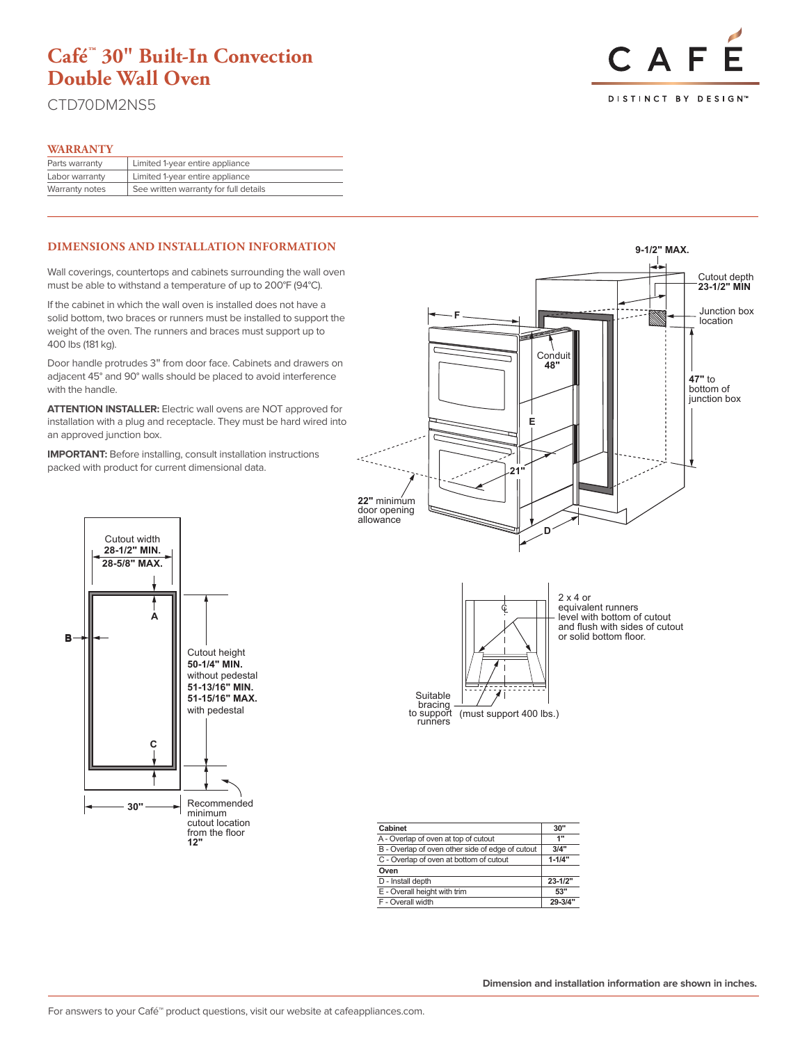CTD70DM2NS5

### **WARRANTY**

| Parts warranty | Limited 1-year entire appliance       |
|----------------|---------------------------------------|
| Labor warranty | Limited 1-year entire appliance       |
| Warranty notes | See written warranty for full details |

#### **DIMENSIONS AND INSTALLATION INFORMATION**

Wall coverings, countertops and cabinets surrounding the wall oven must be able to withstand a temperature of up to 200°F (94°C).

If the cabinet in which the wall oven is installed does not have a solid bottom, two braces or runners must be installed to support the weight of the oven. The runners and braces must support up to 400 lbs (181 kg).

Door handle protrudes 3" from door face. Cabinets and drawers on adjacent 45° and 90° walls should be placed to avoid interference with the handle.

**ATTENTION INSTALLER:** Electric wall ovens are NOT approved for installation with a plug and receptacle. They must be hard wired into an approved junction box.

**IMPORTANT:** Before installing, consult installation instructions packed with product for current dimensional data.



| Cutout width<br>28-1/2" MIN.<br>28-5/8" MAX. |                                                                                                        |
|----------------------------------------------|--------------------------------------------------------------------------------------------------------|
|                                              |                                                                                                        |
| c                                            | Cutout height<br>50-1/4" MIN.<br>without pedestal<br>51-13/16" MIN.<br>51-15/16" MAX.<br>with pedestal |
|                                              |                                                                                                        |
| 30                                           | Recommended<br>minimum<br>cutout location<br>from the floor<br>12"                                     |

| Cabinet                                          | 30"         |
|--------------------------------------------------|-------------|
| A - Overlap of oven at top of cutout             | 1"          |
| B - Overlap of oven other side of edge of cutout | 3/4"        |
| C - Overlap of oven at bottom of cutout          | $1 - 1/4"$  |
| Oven                                             |             |
| D - Install depth                                | $23 - 1/2"$ |
| E - Overall height with trim                     | 53"         |
| F - Overall width                                |             |

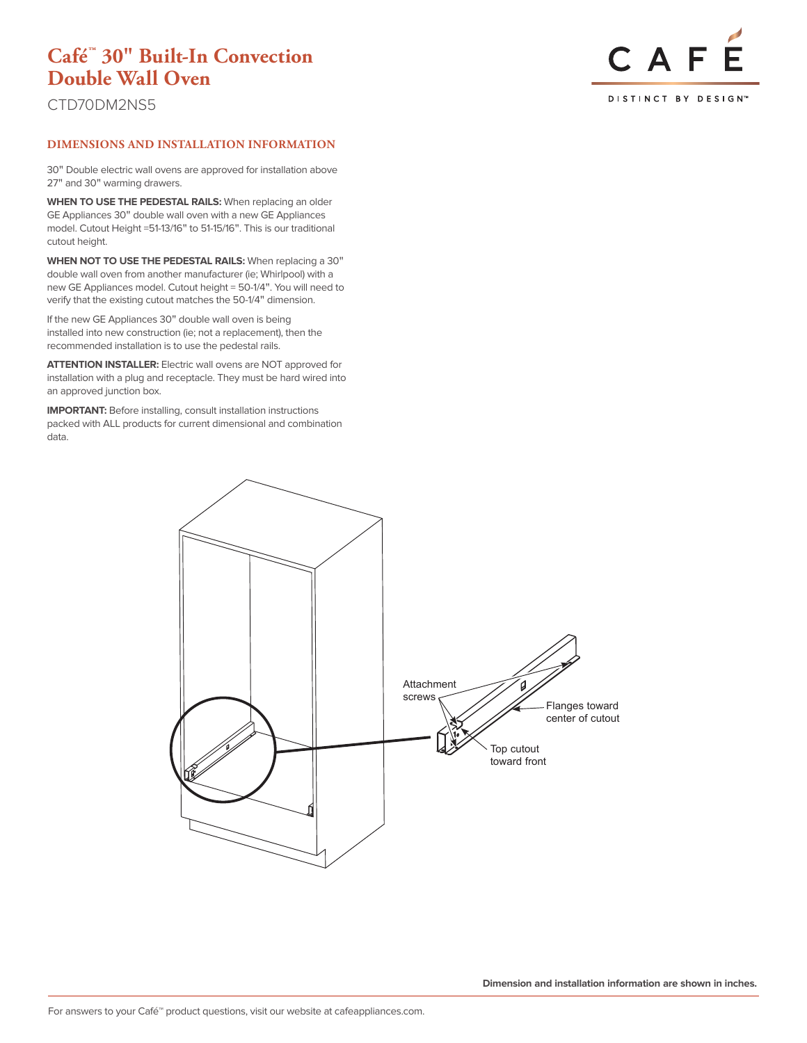CTD70DM2NS5



## **DIMENSIONS AND INSTALLATION INFORMATION**

30" Double electric wall ovens are approved for installation above 27" and 30" warming drawers.

**WHEN TO USE THE PEDESTAL RAILS:** When replacing an older GE Appliances 30" double wall oven with a new GE Appliances model. Cutout Height =51-13/16" to 51-15/16". This is our traditional cutout height.

**WHEN NOT TO USE THE PEDESTAL RAILS:** When replacing a 30" double wall oven from another manufacturer (ie; Whirlpool) with a new GE Appliances model. Cutout height = 50-1/4". You will need to verify that the existing cutout matches the 50-1/4" dimension.

If the new GE Appliances 30" double wall oven is being installed into new construction (ie; not a replacement), then the recommended installation is to use the pedestal rails.

**ATTENTION INSTALLER:** Electric wall ovens are NOT approved for installation with a plug and receptacle. They must be hard wired into an approved junction box.

**IMPORTANT:** Before installing, consult installation instructions packed with ALL products for current dimensional and combination data.